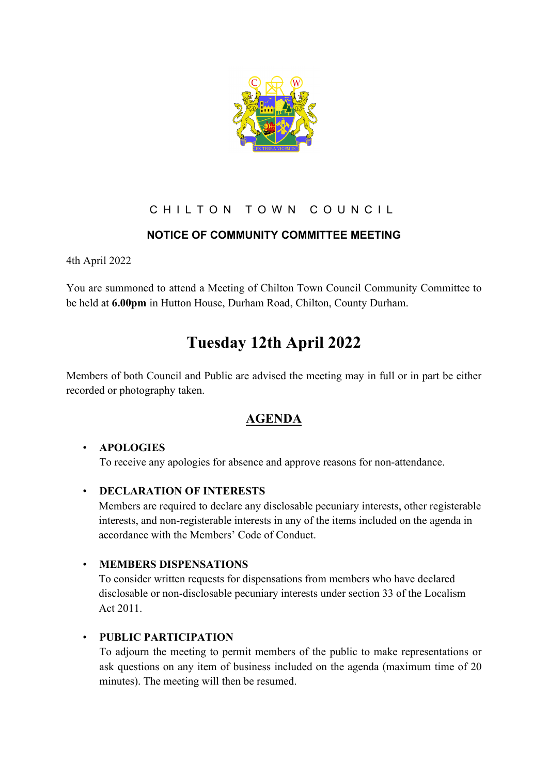

## CHILTON TOWN COUNCIL

## **NOTICE OF COMMUNITY COMMITTEE MEETING**

4th April 2022

You are summoned to attend a Meeting of Chilton Town Council Community Committee to be held at **6.00pm** in Hutton House, Durham Road, Chilton, County Durham.

# **Tuesday 12th April 2022**

Members of both Council and Public are advised the meeting may in full or in part be either recorded or photography taken.

# **AGENDA**

#### • **APOLOGIES**

To receive any apologies for absence and approve reasons for non-attendance.

#### • **DECLARATION OF INTERESTS**

Members are required to declare any disclosable pecuniary interests, other registerable interests, and non-registerable interests in any of the items included on the agenda in accordance with the Members' Code of Conduct.

#### • **MEMBERS DISPENSATIONS**

To consider written requests for dispensations from members who have declared disclosable or non-disclosable pecuniary interests under section 33 of the Localism Act 2011.

#### • **PUBLIC PARTICIPATION**

To adjourn the meeting to permit members of the public to make representations or ask questions on any item of business included on the agenda (maximum time of 20 minutes). The meeting will then be resumed.